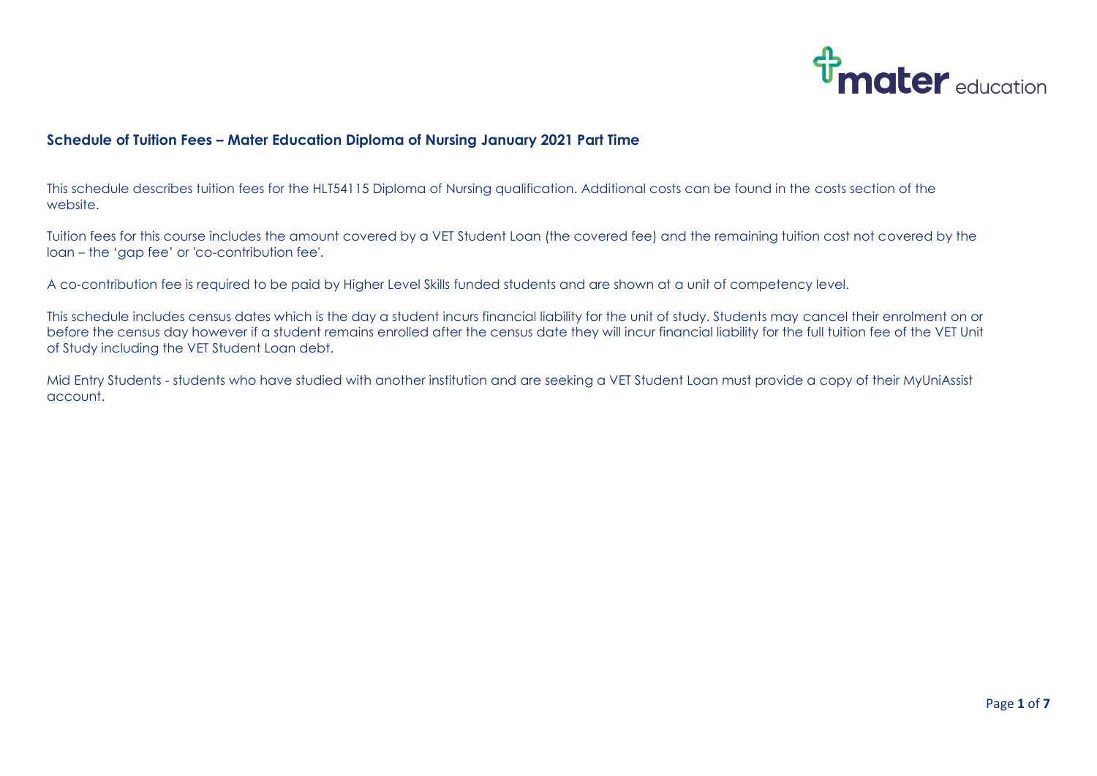

## **Schedule of Tuition Fees – Mater Education Diploma of Nursing January 2021 Part Time**

This schedule describes tuition fees for the HLT54115 Diploma of Nursing qualification. Additional costs can be found in the costs section of the website.

Tuition fees for this course includes the amount covered by a VET Student Loan (the covered fee) and the remaining tuition cost not covered by the loan – the 'gap fee' or 'co-contribution fee'.

A co-contribution fee is required to be paid by Higher Level Skills funded students and are shown at a unit of competency level.

This schedule includes census dates which is the day a student incurs financial liability for the unit of study. Students may cancel their enrolment on or before the census day however if a student remains enrolled after the census date they will incur financial liability for the full tuition fee of the VET Unit of Study including the VET Student Loan debt.

Mid Entry Students - students who have studied with another institution and are seeking a VET Student Loan must provide a copy of their MyUniAssist account.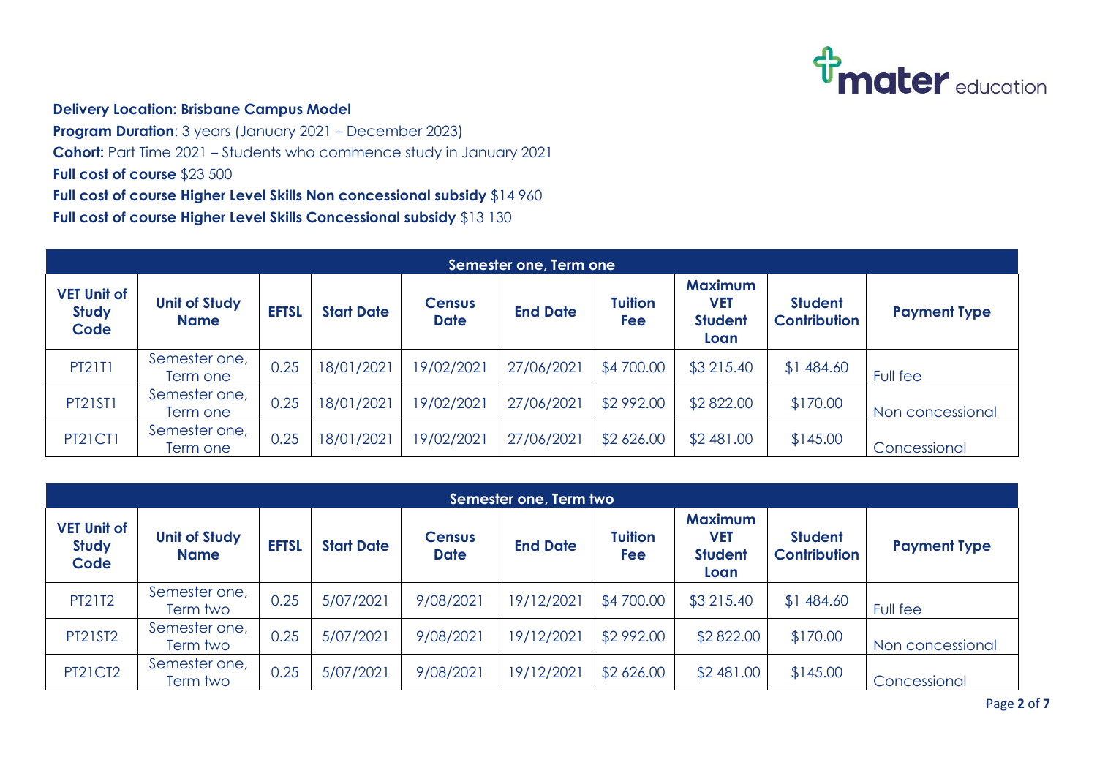

## **Delivery Location: Brisbane Campus Model**

**Program Duration:** 3 years (January 2021 – December 2023) **Cohort:** Part Time 2021 – Students who commence study in January 2021 **Full cost of course** \$23 500 **Full cost of course Higher Level Skills Non concessional subsidy** \$14 960 **Full cost of course Higher Level Skills Concessional subsidy** \$13 130

|                                            | Semester one, Term one              |              |                   |                              |                 |                       |                                                        |                                       |                     |  |  |  |
|--------------------------------------------|-------------------------------------|--------------|-------------------|------------------------------|-----------------|-----------------------|--------------------------------------------------------|---------------------------------------|---------------------|--|--|--|
| <b>VET Unit of</b><br><b>Study</b><br>Code | <b>Unit of Study</b><br><b>Name</b> | <b>EFTSL</b> | <b>Start Date</b> | <b>Census</b><br><b>Date</b> | <b>End Date</b> | <b>Tuition</b><br>Fee | <b>Maximum</b><br><b>VET</b><br><b>Student</b><br>Loan | <b>Student</b><br><b>Contribution</b> | <b>Payment Type</b> |  |  |  |
| PT21T1                                     | Semester one,<br>Term one           | 0.25         | 18/01/2021        | 19/02/2021                   | 27/06/2021      | \$4 700.00            | \$3 215.40                                             | \$1 484.60                            | Full fee            |  |  |  |
| <b>PT21ST1</b>                             | Semester one,<br>Term one           | 0.25         | 18/01/2021        | 19/02/2021                   | 27/06/2021      | \$2 992.00            | \$2822.00                                              | \$170.00                              | Non concessional    |  |  |  |
| <b>PT21CT1</b>                             | Semester one,<br>Term one           | 0.25         | 18/01/2021        | 19/02/2021                   | 27/06/2021      | \$2 626.00            | \$2 481.00                                             | \$145.00                              | Concessional        |  |  |  |

|                                            | Semester one, Term two              |              |                   |                              |                 |                              |                                                        |                                       |                     |  |  |  |  |
|--------------------------------------------|-------------------------------------|--------------|-------------------|------------------------------|-----------------|------------------------------|--------------------------------------------------------|---------------------------------------|---------------------|--|--|--|--|
| <b>VET Unit of</b><br><b>Study</b><br>Code | <b>Unit of Study</b><br><b>Name</b> | <b>EFTSL</b> | <b>Start Date</b> | <b>Census</b><br><b>Date</b> | <b>End Date</b> | <b>Tuition</b><br><b>Fee</b> | <b>Maximum</b><br><b>VET</b><br><b>Student</b><br>Loan | <b>Student</b><br><b>Contribution</b> | <b>Payment Type</b> |  |  |  |  |
| PT21T2                                     | Semester one,<br>Term two           | 0.25         | 5/07/2021         | 9/08/2021                    | 19/12/2021      | \$4 700.00                   | \$3 215.40                                             | \$1 484.60                            | Full fee            |  |  |  |  |
| PT21ST2                                    | Semester one,<br>Term two           | 0.25         | 5/07/2021         | 9/08/2021                    | 19/12/2021      | \$2 992.00                   | \$2822.00                                              | \$170.00                              | Non concessional    |  |  |  |  |
| <b>PT21CT2</b>                             | Semester one,<br>Term two           | 0.25         | 5/07/2021         | 9/08/2021                    | 19/12/2021      | \$2 626.00                   | \$2 481.00                                             | \$145.00                              | Concessional        |  |  |  |  |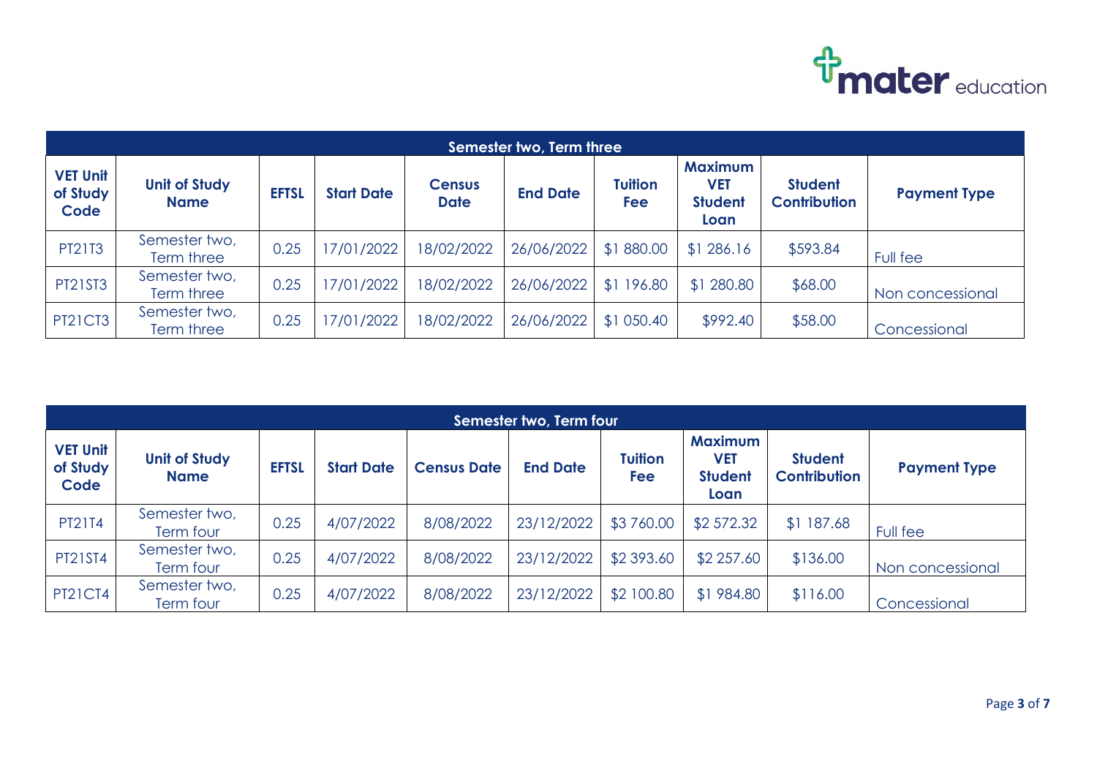

|                                     | Semester two, Term three            |              |                   |                              |                 |                              |                                                        |                                       |                     |  |  |  |  |
|-------------------------------------|-------------------------------------|--------------|-------------------|------------------------------|-----------------|------------------------------|--------------------------------------------------------|---------------------------------------|---------------------|--|--|--|--|
| <b>VET Unit</b><br>of Study<br>Code | <b>Unit of Study</b><br><b>Name</b> | <b>EFTSL</b> | <b>Start Date</b> | <b>Census</b><br><b>Date</b> | <b>End Date</b> | <b>Tuition</b><br><b>Fee</b> | <b>Maximum</b><br><b>VET</b><br><b>Student</b><br>Loan | <b>Student</b><br><b>Contribution</b> | <b>Payment Type</b> |  |  |  |  |
| <b>PT21T3</b>                       | Semester two,<br>Term three         | 0.25         | 7/01/2022         | 18/02/2022                   | 26/06/2022      | \$1880.00                    | \$1286.16                                              | \$593.84                              | Full fee            |  |  |  |  |
| PT21ST3                             | Semester two,<br>Term three         | 0.25         | 7/01/2022         | 18/02/2022                   | 26/06/2022      | \$1 196.80                   | \$1 280.80                                             | \$68.00                               | Non concessional    |  |  |  |  |
| <b>PT21CT3</b>                      | Semester two,<br>Term three         | 0.25         | 7/01/2022         | 18/02/2022                   | 26/06/2022      | \$1 050.40                   | \$992.40                                               | \$58.00                               | Concessional        |  |  |  |  |

|                                     | Semester two, Term four             |              |                   |                    |                 |                       |                                                        |                                       |                     |  |  |  |  |
|-------------------------------------|-------------------------------------|--------------|-------------------|--------------------|-----------------|-----------------------|--------------------------------------------------------|---------------------------------------|---------------------|--|--|--|--|
| <b>VET Unit</b><br>of Study<br>Code | <b>Unit of Study</b><br><b>Name</b> | <b>EFTSL</b> | <b>Start Date</b> | <b>Census Date</b> | <b>End Date</b> | <b>Tuition</b><br>Fee | <b>Maximum</b><br><b>VET</b><br><b>Student</b><br>Loan | <b>Student</b><br><b>Contribution</b> | <b>Payment Type</b> |  |  |  |  |
| <b>PT21T4</b>                       | Semester two,<br>Term four          | 0.25         | 4/07/2022         | 8/08/2022          | 23/12/2022      | \$3760.00             | \$2 572.32                                             | \$1 187.68                            | Full fee            |  |  |  |  |
| PT21ST4                             | Semester two,<br>Term four          | 0.25         | 4/07/2022         | 8/08/2022          | 23/12/2022      | \$2 393.60            | \$2 257.60                                             | \$136.00                              | Non concessional    |  |  |  |  |
| <b>PT21CT4</b>                      | Semester two,<br>Term four          | 0.25         | 4/07/2022         | 8/08/2022          | 23/12/2022      | \$2 100.80            | \$1 984.80                                             | \$116.00                              | Concessional        |  |  |  |  |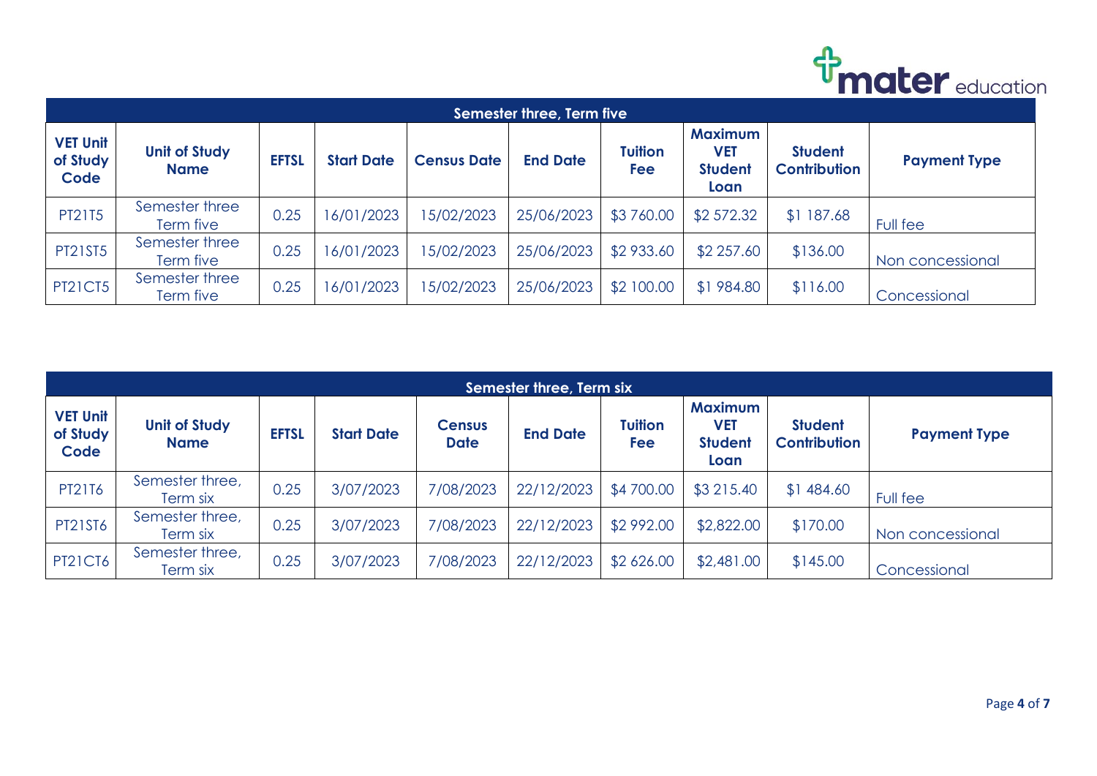

|                                     | Semester three, Term five           |              |                   |                    |                 |                       |                                                        |                                       |                     |  |  |  |  |
|-------------------------------------|-------------------------------------|--------------|-------------------|--------------------|-----------------|-----------------------|--------------------------------------------------------|---------------------------------------|---------------------|--|--|--|--|
| <b>VET Unit</b><br>of Study<br>Code | <b>Unit of Study</b><br><b>Name</b> | <b>EFTSL</b> | <b>Start Date</b> | <b>Census Date</b> | <b>End Date</b> | <b>Tuition</b><br>Fee | <b>Maximum</b><br><b>VET</b><br><b>Student</b><br>Loan | <b>Student</b><br><b>Contribution</b> | <b>Payment Type</b> |  |  |  |  |
| PT21T5                              | Semester three<br>Term five l       | 0.25         | 16/01/2023        | 5/02/2023          | 25/06/2023      | \$3760.00             | \$2 572.32                                             | \$1187.68                             | Full fee            |  |  |  |  |
| PT21ST5                             | Semester three<br>Term five         | 0.25         | 16/01/2023        | 5/02/2023          | 25/06/2023      | \$2 933.60            | \$2 257.60                                             | \$136.00                              | Non concessional    |  |  |  |  |
| <b>PT21CT5</b>                      | Semester three<br>Term five         | 0.25         | 6/01/2023         | 5/02/2023          | 25/06/2023      | \$2 100.00            | \$1 984.80                                             | \$116.00                              | Concessional        |  |  |  |  |

|                                     | Semester three, Term six            |              |                   |                              |                 |                       |                                                 |                                       |                     |  |  |  |  |
|-------------------------------------|-------------------------------------|--------------|-------------------|------------------------------|-----------------|-----------------------|-------------------------------------------------|---------------------------------------|---------------------|--|--|--|--|
| <b>VET Unit</b><br>of Study<br>Code | <b>Unit of Study</b><br><b>Name</b> | <b>EFTSL</b> | <b>Start Date</b> | <b>Census</b><br><b>Date</b> | <b>End Date</b> | <b>Tuition</b><br>Fee | <b>Maximum</b><br>VET<br><b>Student</b><br>Loan | <b>Student</b><br><b>Contribution</b> | <b>Payment Type</b> |  |  |  |  |
| PT21T6                              | Semester three,<br>Term six         | 0.25         | 3/07/2023         | 7/08/2023                    | 22/12/2023      | \$4 700.00            | \$3 215.40                                      | \$1 484.60                            | Full fee            |  |  |  |  |
| <b>PT21ST6</b>                      | Semester three,<br>Term six         | 0.25         | 3/07/2023         | 7/08/2023                    | 22/12/2023      | \$2 992.00            | \$2,822.00                                      | \$170.00                              | Non concessional    |  |  |  |  |
| <b>PT21CT6</b>                      | Semester three,<br>Term six         | 0.25         | 3/07/2023         | 7/08/2023                    | 22/12/2023      | \$2 626.00            | \$2,481.00                                      | \$145.00                              | Concessional        |  |  |  |  |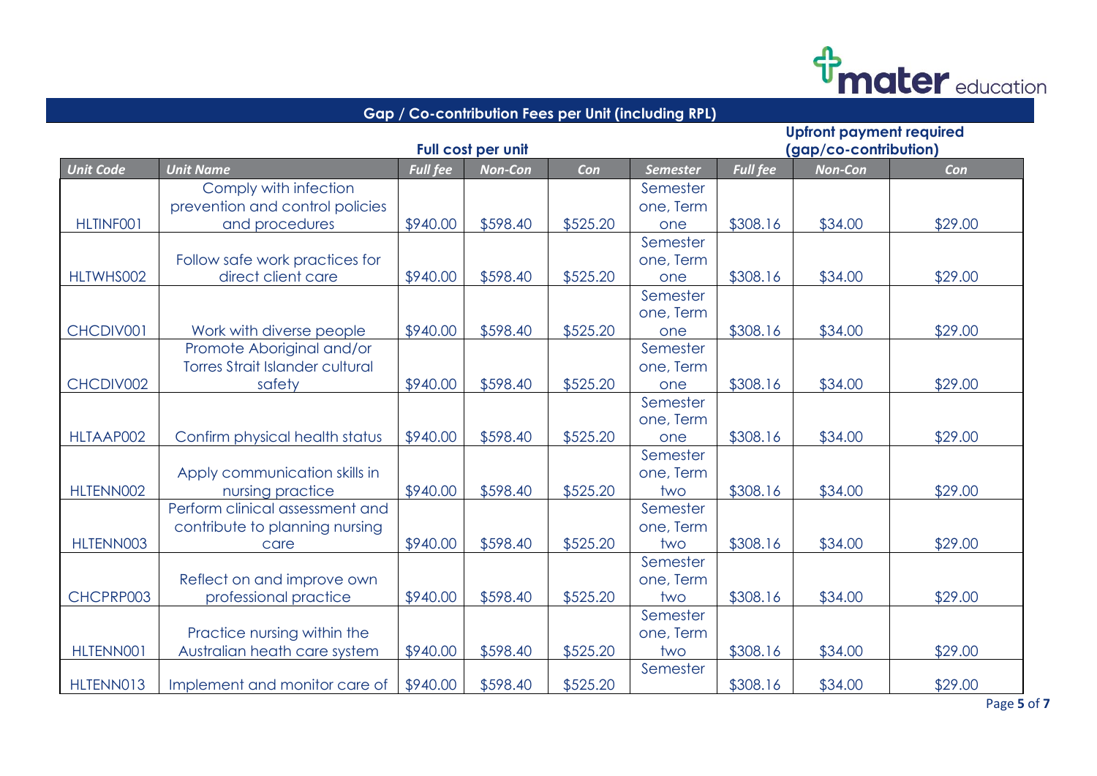

## **Gap / Co-contribution Fees per Unit (including RPL) Full cost per unit Upfront payment required (gap/co-contribution)** *Unit Code Unit Name Full fee Non-Con Con Semester Full fee Non-Con Con* HI TINF001 Comply with infection prevention and control policies and procedures \$940.00 \$598.40 \$525.20 Semester one, Term one \$308.16 \$34.00 \$29.00 HLTWHS002 Follow safe work practices for direct client care  $\begin{array}{|c|c|c|c|c|c|c|c|c|} \hline \text{1} & \text{1} & \text{1} & \text{1} & \text{1} & \text{1} & \text{1} & \text{1} & \text{1} & \text{1} & \text{1} & \text{1} & \text{1} & \text{1} & \text{1} & \text{1} & \text{1} & \text{1} & \text{1} & \text{1} & \text{1} & \text{1} & \text{1} & \text{1} & \text{1} & \text{1} & \text{1} & \text{1} & \text{1} &$ Semester one, Term one \$308.16 \$34.00 \$29.00 CHCDIV001 | Work with diverse people | \$940.00 | \$598.40 | \$525.20 Semester one, Term one \$308.16 \$34.00 \$29.00 CHCDIV002 Promote Aboriginal and/or Torres Strait Islander cultural safety \$940.00 \$598.40 \$525.20 Semester one, Term one \$308.16 \$34.00 \$29.00 HLTAAP002 | Confirm physical health status | \$940.00 | \$598.40 | \$525.20 Semester one, Term one \$308.16 \$34.00 \$29.00 HLTENN002 Apply communication skills in nursing practice  $\left| \frac{1}{3940.00} \right| \left| \frac{1}{3598.40} \right| \left| \frac{1}{3525.20} \right|$ Semester one, Term two | \$308.16 | \$34.00 | \$29.00 HLTENN003 Perform clinical assessment and contribute to planning nursing care | \$940.00 | \$598.40 | \$525.20 Semester one, Term two \$308.16 \$34.00 \$29.00 CHCPRP003 Reflect on and improve own professional practice \$940.00 \$598.40 \$525.20 Semester one, Term two \$308.16 \$34.00 \$29.00 HLTENN001 Practice nursing within the Australian heath care system | \$940.00 | \$598.40 | \$525.20 Semester one, Term two | \$308.16 | \$34.00 | \$29.00 HLTENN013 | Implement and monitor care of  $\vert$  \$940.00 | \$598.40 | \$525.20 Semester \$308.16 \$34.00 \$29.00

Page **5** of **7**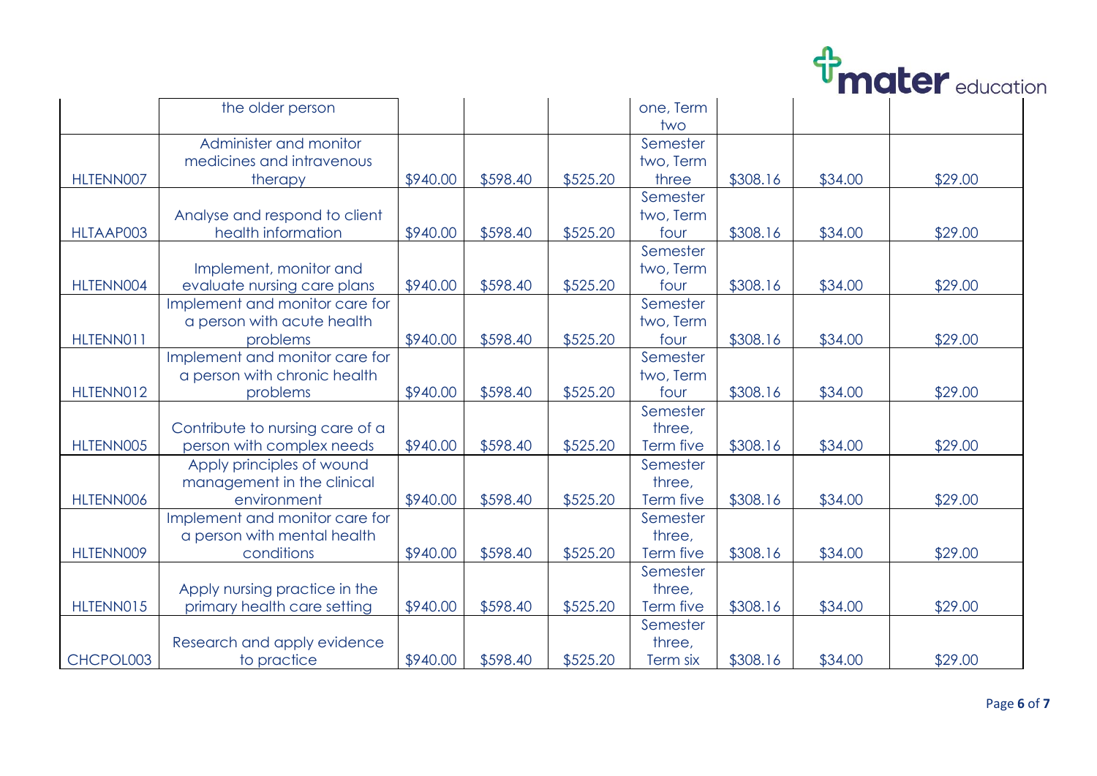

|           | the older person                                             |          |          |          | one, Term           |          |         |         |
|-----------|--------------------------------------------------------------|----------|----------|----------|---------------------|----------|---------|---------|
|           |                                                              |          |          |          | two                 |          |         |         |
|           | Administer and monitor                                       |          |          |          | Semester            |          |         |         |
|           | medicines and intravenous                                    |          |          |          | two, Term           |          |         |         |
| HLTENN007 | therapy                                                      | \$940.00 | \$598.40 | \$525.20 | three               | \$308.16 | \$34.00 | \$29.00 |
|           |                                                              |          |          |          | Semester            |          |         |         |
|           | Analyse and respond to client                                |          |          |          | two, Term           |          |         |         |
| HLTAAP003 | health information                                           | \$940.00 | \$598.40 | \$525.20 | four                | \$308.16 | \$34.00 | \$29.00 |
|           |                                                              |          |          |          | Semester            |          |         |         |
|           | Implement, monitor and                                       |          |          |          | two, Term           |          |         |         |
| HLTENN004 | evaluate nursing care plans                                  | \$940.00 | \$598.40 | \$525.20 | four                | \$308.16 | \$34.00 | \$29.00 |
|           | Implement and monitor care for                               |          |          |          | Semester            |          |         |         |
|           | a person with acute health                                   |          |          |          | two, Term           |          |         |         |
| HLTENN011 | problems                                                     | \$940.00 | \$598.40 | \$525.20 | four                | \$308.16 | \$34.00 | \$29.00 |
|           | Implement and monitor care for                               |          |          |          | Semester            |          |         |         |
| HLTENN012 | a person with chronic health                                 | \$940.00 | \$598.40 | \$525.20 | two, Term<br>four   | \$308.16 | \$34.00 | \$29.00 |
|           | problems                                                     |          |          |          | Semester            |          |         |         |
|           |                                                              |          |          |          |                     |          |         |         |
| HLTENN005 | Contribute to nursing care of a<br>person with complex needs | \$940.00 | \$598.40 | \$525.20 | three,<br>Term five | \$308.16 | \$34.00 | \$29.00 |
|           | Apply principles of wound                                    |          |          |          | Semester            |          |         |         |
|           | management in the clinical                                   |          |          |          | three,              |          |         |         |
| HLTENN006 | environment                                                  | \$940.00 | \$598.40 | \$525.20 | Term five           | \$308.16 | \$34.00 | \$29.00 |
|           | Implement and monitor care for                               |          |          |          | Semester            |          |         |         |
|           | a person with mental health                                  |          |          |          | three,              |          |         |         |
| HLTENN009 | conditions                                                   | \$940.00 | \$598.40 | \$525.20 | Term five           | \$308.16 | \$34.00 | \$29.00 |
|           |                                                              |          |          |          | Semester            |          |         |         |
|           | Apply nursing practice in the                                |          |          |          | three,              |          |         |         |
| HLTENN015 | primary health care setting                                  | \$940.00 | \$598.40 | \$525.20 | Term five           | \$308.16 | \$34.00 | \$29.00 |
|           |                                                              |          |          |          | Semester            |          |         |         |
|           | Research and apply evidence                                  |          |          |          | three,              |          |         |         |
| CHCPOL003 | to practice                                                  | \$940.00 | \$598.40 | \$525.20 | Term six            | \$308.16 | \$34.00 | \$29.00 |